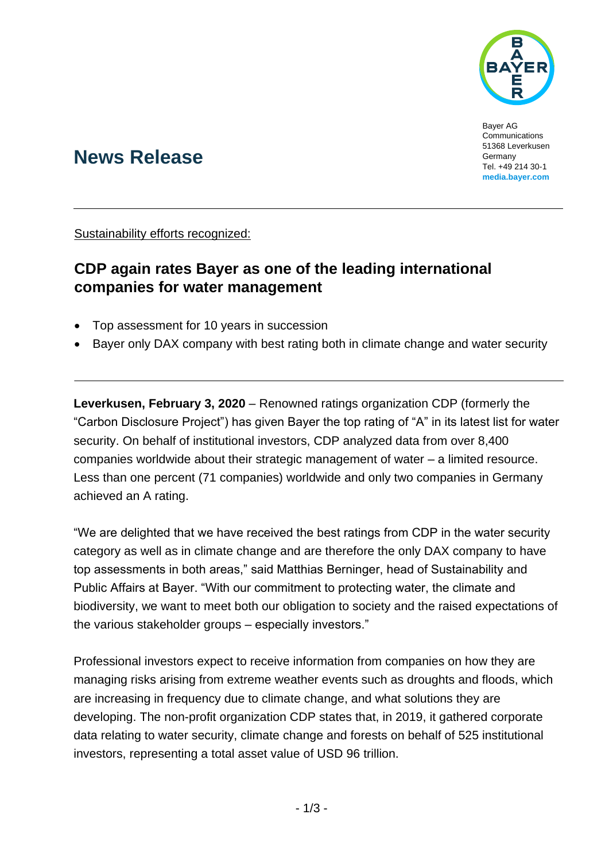

Bayer AG Communications 51368 Leverkusen Germany Tel. +49 214 30-1 **[media.bayer.com](http://media.bayer.de/)**

# **News Release**

Sustainability efforts recognized:

## **CDP again rates Bayer as one of the leading international companies for water management**

- Top assessment for 10 years in succession
- Bayer only DAX company with best rating both in climate change and water security

**Leverkusen, February 3, 2020** – Renowned ratings organization CDP (formerly the "Carbon Disclosure Project") has given Bayer the top rating of "A" in its latest list for water security. On behalf of institutional investors, CDP analyzed data from over 8,400 companies worldwide about their strategic management of water – a limited resource. Less than one percent (71 companies) worldwide and only two companies in Germany achieved an A rating.

"We are delighted that we have received the best ratings from CDP in the water security category as well as in climate change and are therefore the only DAX company to have top assessments in both areas," said Matthias Berninger, head of Sustainability and Public Affairs at Bayer. "With our commitment to protecting water, the climate and biodiversity, we want to meet both our obligation to society and the raised expectations of the various stakeholder groups – especially investors."

Professional investors expect to receive information from companies on how they are managing risks arising from extreme weather events such as droughts and floods, which are increasing in frequency due to climate change, and what solutions they are developing. The non-profit organization CDP states that, in 2019, it gathered corporate data relating to water security, climate change and forests on behalf of 525 institutional investors, representing a total asset value of USD 96 trillion.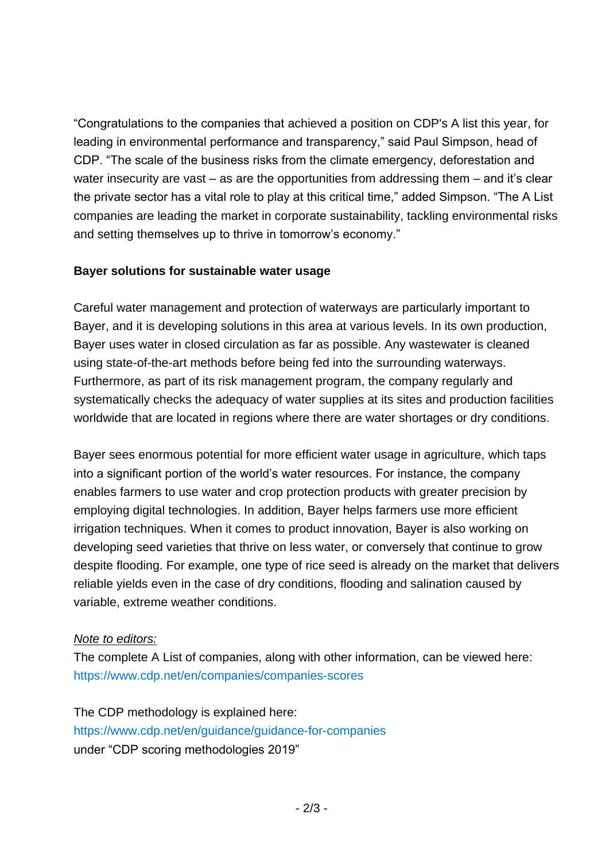"Congratulations to the companies that achieved a position on CDP's A list this year, for leading in environmental performance and transparency," said Paul Simpson, head of CDP. "The scale of the business risks from the climate emergency, deforestation and water insecurity are vast – as are the opportunities from addressing them – and it's clear the private sector has a vital role to play at this critical time," added Simpson. "The A List companies are leading the market in corporate sustainability, tackling environmental risks and setting themselves up to thrive in tomorrow's economy."

### **Bayer solutions for sustainable water usage**

Careful water management and protection of waterways are particularly important to Bayer, and it is developing solutions in this area at various levels. In its own production, Bayer uses water in closed circulation as far as possible. Any wastewater is cleaned using state-of-the-art methods before being fed into the surrounding waterways. Furthermore, as part of its risk management program, the company regularly and systematically checks the adequacy of water supplies at its sites and production facilities worldwide that are located in regions where there are water shortages or dry conditions.

Bayer sees enormous potential for more efficient water usage in agriculture, which taps into a significant portion of the world's water resources. For instance, the company enables farmers to use water and crop protection products with greater precision by employing digital technologies. In addition, Bayer helps farmers use more efficient irrigation techniques. When it comes to product innovation, Bayer is also working on developing seed varieties that thrive on less water, or conversely that continue to grow despite flooding. For example, one type of rice seed is already on the market that delivers reliable yields even in the case of dry conditions, flooding and salination caused by variable, extreme weather conditions.

### *Note to editors:*

The complete A List of companies, along with other information, can be viewed here: <https://www.cdp.net/en/companies/companies-scores>

The CDP methodology is explained here: <https://www.cdp.net/en/guidance/guidance-for-companies> under "CDP scoring methodologies 2019"